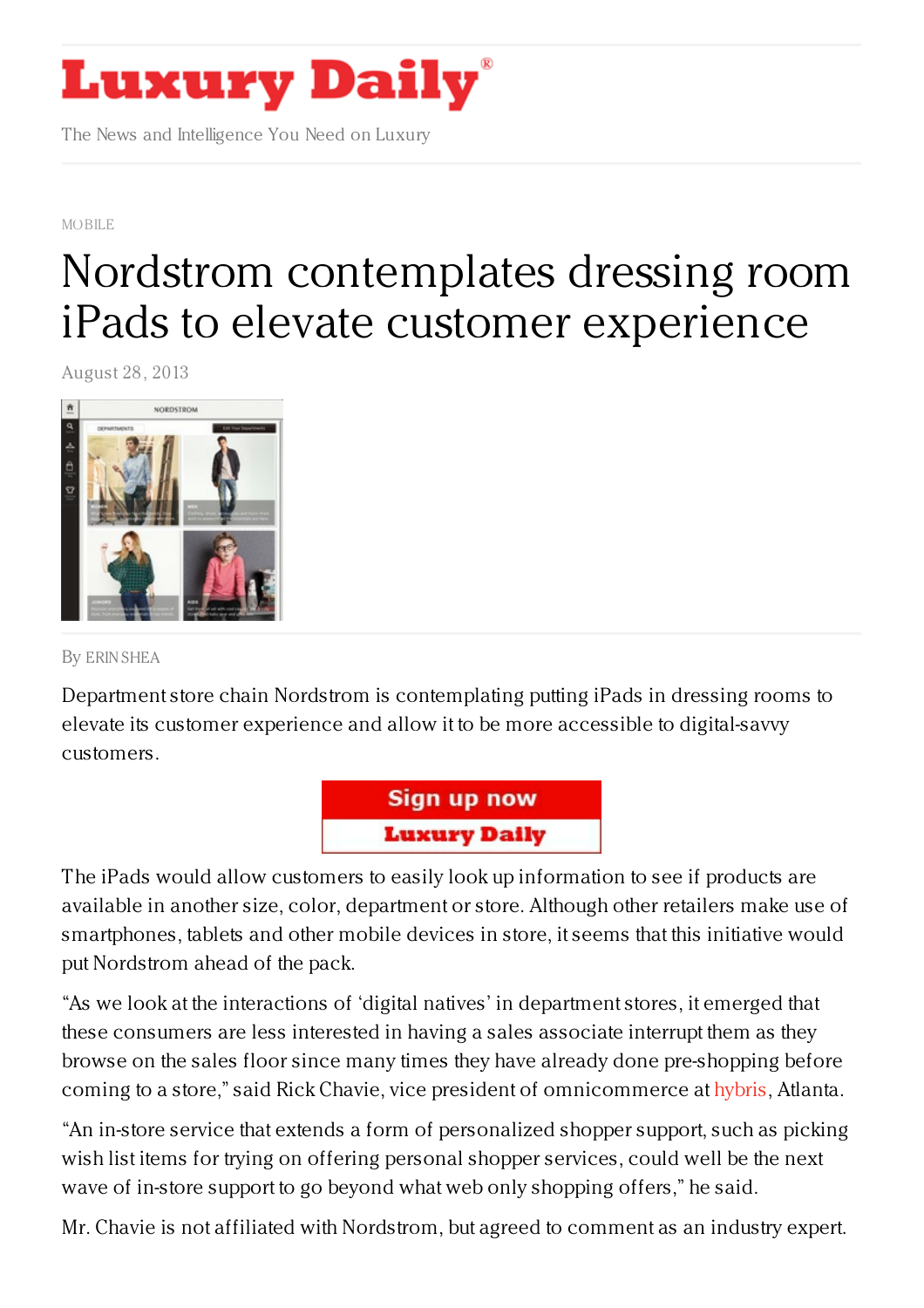

The News and Intelligence You Need on Luxury

[MOBILE](https://www.luxurydaily.com/category/news/mobile-news/)

## Nordstrom [contemplates](https://www.luxurydaily.com/nordstrom-contemplates-dressing-room-ipads-to-elevate-customer-experience/) dressing room iPads to elevate customer experience

August 28, 2013



By ERIN [SHEA](/author/erin-shea)

Department store chain Nordstrom is contemplating putting iPads in dressing rooms to elevate its customer experience and allow it to be more accessible to digital-savvy customers.



The iPads would allow customers to easily look up information to see if products are available in another size, color, department or store. Although other retailers make use of smartphones, tablets and other mobile devices in store, it seems that this initiative would put Nordstrom ahead of the pack.

"As we look at the interactions of 'digital natives' in department stores, it emerged that these consumers are less interested in having a sales associate interrupt them as they browse on the sales floor since many times they have already done pre-shopping before coming to a store," said Rick Chavie, vice president of omnicommerce at [hybris](ttp://www.hybris.com/), Atlanta.

"An in-store service that extends a form of personalized shopper support, such as picking wish list items for trying on offering personal shopper services, could well be the next wave of in-store support to go beyond what web only shopping offers," he said.

Mr. Chavie is not affiliated with Nordstrom, but agreed to comment as an industry expert.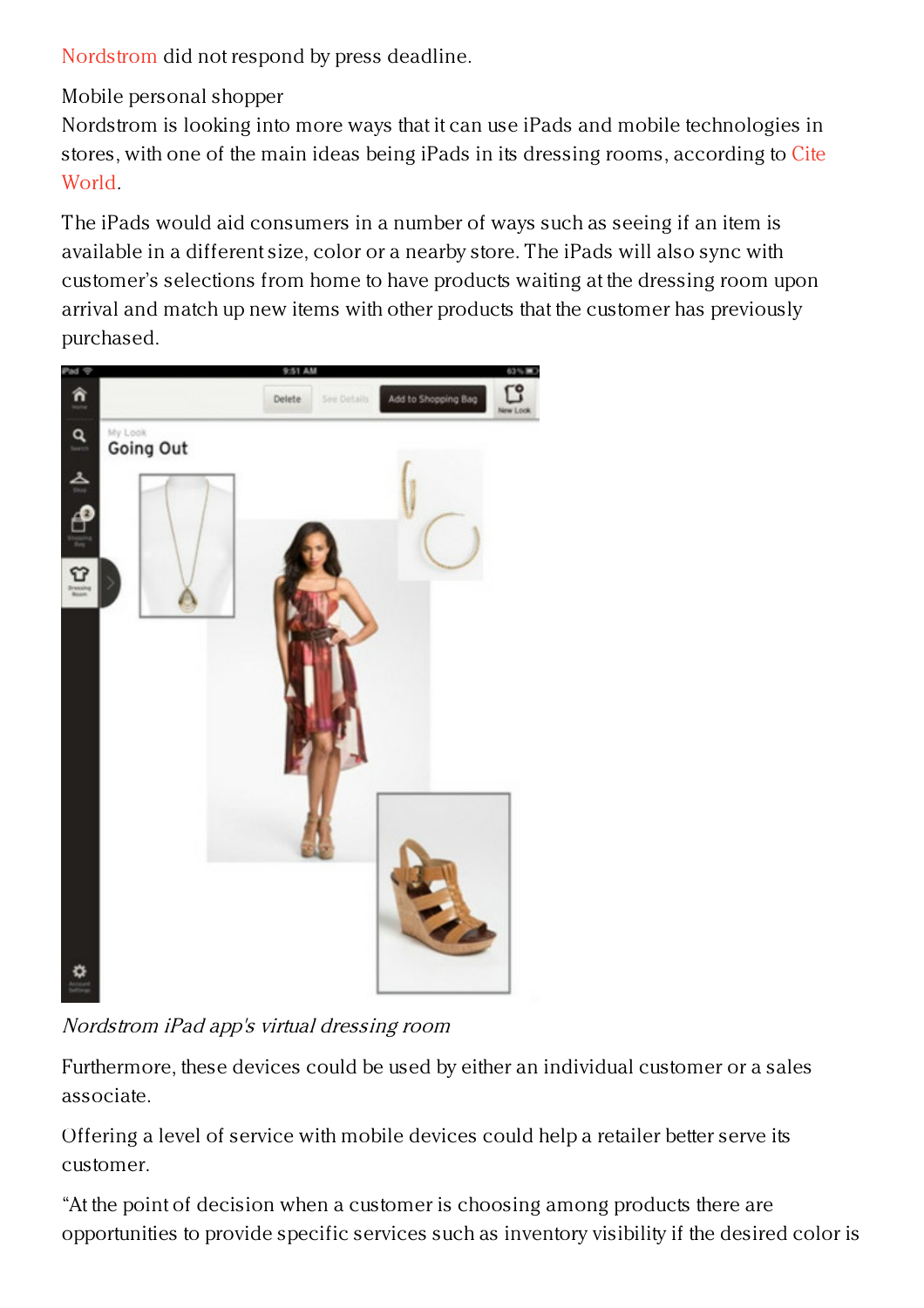[Nordstrom]( http://nordstrom.com) did not respond by press deadline.

Mobile personal shopper

Nordstrom is looking into more ways that it can use iPads and mobile technologies in stores, with one of the main ideas being iPads in its dressing rooms, [according]( http://www.citeworld.com/tablets/22279/nordstrom-ipad-dressing-rooms) to Cite World.

The iPads would aid consumers in a number of ways such as seeing if an item is available in a different size, color or a nearby store. The iPads will also sync with customer's selections from home to have products waiting at the dressing room upon arrival and match up new items with other products that the customer has previously purchased.



Nordstrom iPad app's virtual dressing room

Furthermore, these devices could be used by either an individual customer or a sales associate.

Offering a level of service with mobile devices could help a retailer better serve its customer.

"At the point of decision when a customer is choosing among products there are opportunities to provide specific services such as inventory visibility if the desired color is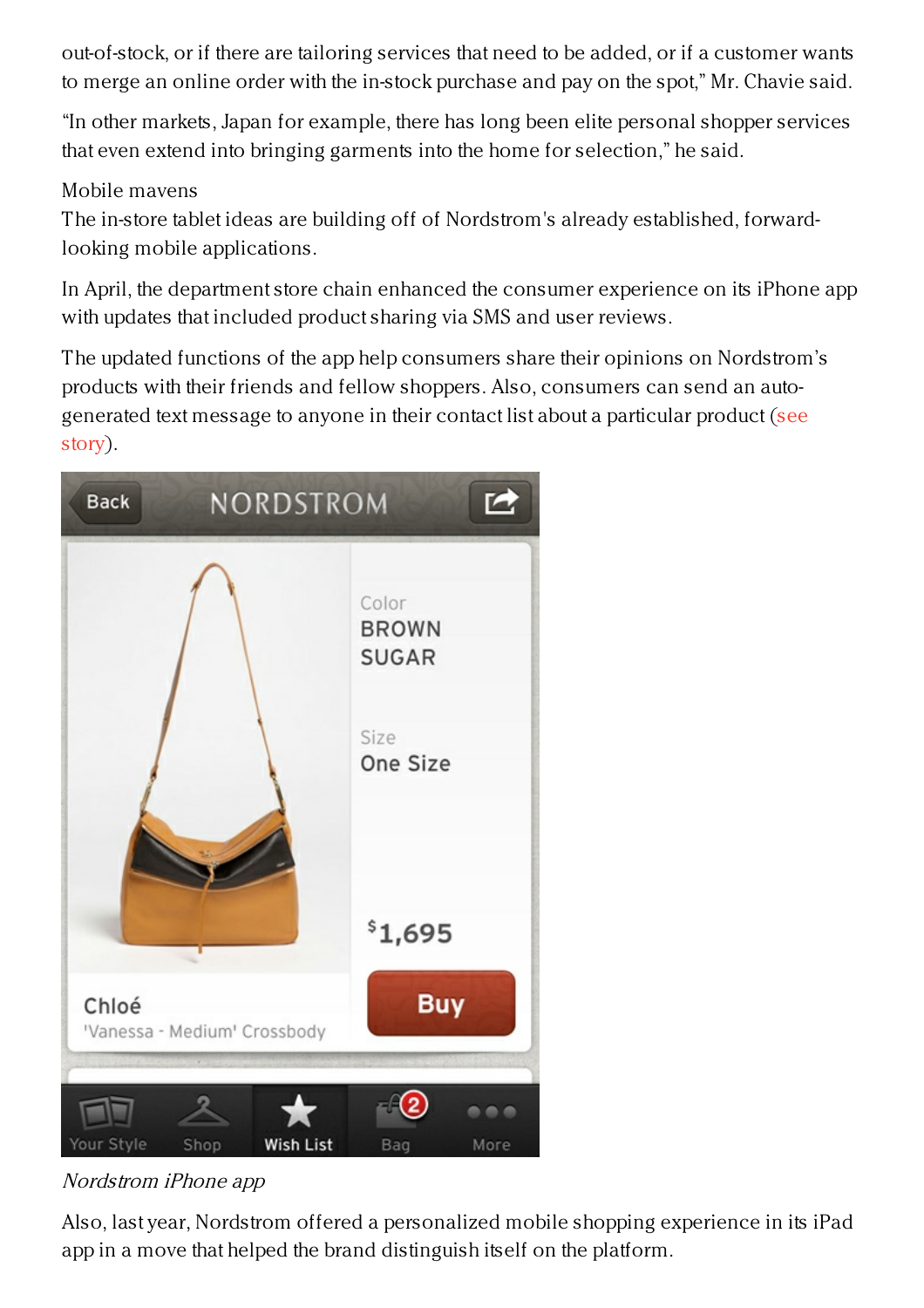out-of-stock, or if there are tailoring services that need to be added, or if a customer wants to merge an online order with the in-stock purchase and pay on the spot," Mr. Chavie said.

"In other markets, Japan for example, there has long been elite personal shopper services that even extend into bringing garments into the home for selection," he said.

## Mobile mavens

The in-store tablet ideas are building off of Nordstrom's already established, forwardlooking mobile applications.

In April, the department store chain enhanced the consumer experience on its iPhone app with updates that included product sharing via SMS and user reviews.

The updated functions of the app help consumers share their opinions on Nordstrom's products with their friends and fellow shoppers. Also, consumers can send an auto[generated](https://www.luxurydaily.com/nordstrom-enhances-mobile-app-strategy-with-added-engagement/) text message to anyone in their contact list about a particular product (see story).



## Nordstrom iPhone app

Also, last year, Nordstrom offered a personalized mobile shopping experience in its iPad app in a move that helped the brand distinguish itself on the platform.